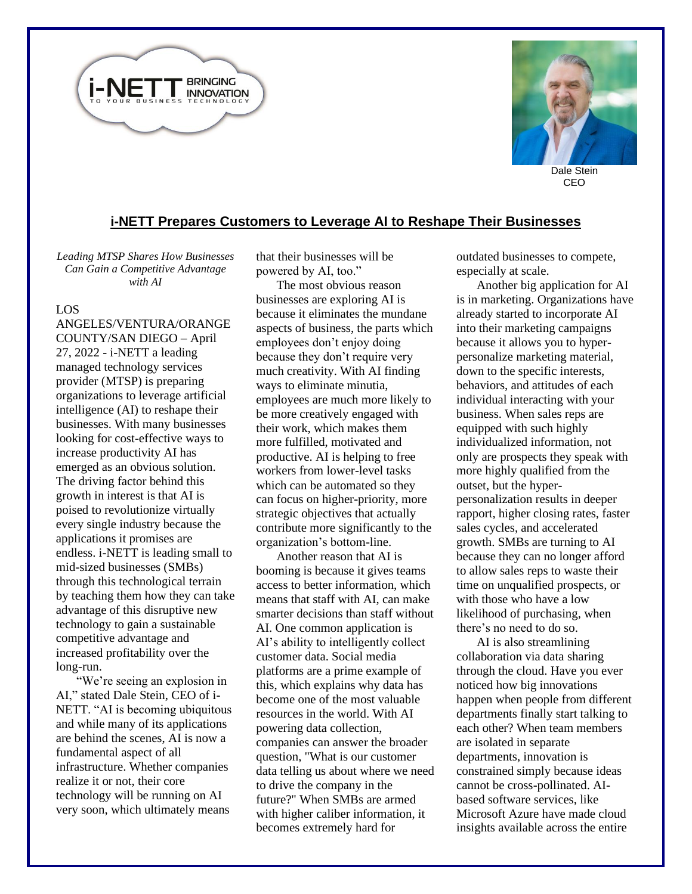



CEO

## **i-NETT Prepares Customers to Leverage AI to Reshape Their Businesses**

*Leading MTSP Shares How Businesses Can Gain a Competitive Advantage with AI*

## LOS

ANGELES/VENTURA/ORANGE COUNTY/SAN DIEGO – April 27, 2022 - i-NETT a leading managed technology services provider (MTSP) is preparing organizations to leverage artificial intelligence (AI) to reshape their businesses. With many businesses looking for cost-effective ways to increase productivity AI has emerged as an obvious solution. The driving factor behind this growth in interest is that AI is poised to revolutionize virtually every single industry because the applications it promises are endless. i-NETT is leading small to mid-sized businesses (SMBs) through this technological terrain by teaching them how they can take advantage of this disruptive new technology to gain a sustainable competitive advantage and increased profitability over the long-run.

"We're seeing an explosion in AI," stated Dale Stein, CEO of i-NETT. "AI is becoming ubiquitous and while many of its applications are behind the scenes, AI is now a fundamental aspect of all infrastructure. Whether companies realize it or not, their core technology will be running on AI very soon, which ultimately means

that their businesses will be powered by AI, too."

The most obvious reason businesses are exploring AI is because it eliminates the mundane aspects of business, the parts which employees don't enjoy doing because they don't require very much creativity. With AI finding ways to eliminate minutia, employees are much more likely to be more creatively engaged with their work, which makes them more fulfilled, motivated and productive. AI is helping to free workers from lower-level tasks which can be automated so they can focus on higher-priority, more strategic objectives that actually contribute more significantly to the organization's bottom-line.

Another reason that AI is booming is because it gives teams access to better information, which means that staff with AI, can make smarter decisions than staff without AI. One common application is AI's ability to intelligently collect customer data. Social media platforms are a prime example of this, which explains why data has become one of the most valuable resources in the world. With AI powering data collection, companies can answer the broader question, "What is our customer data telling us about where we need to drive the company in the future?" When SMBs are armed with higher caliber information, it becomes extremely hard for

outdated businesses to compete, especially at scale.

Another big application for AI is in marketing. Organizations have already started to incorporate AI into their marketing campaigns because it allows you to hyperpersonalize marketing material, down to the specific interests, behaviors, and attitudes of each individual interacting with your business. When sales reps are equipped with such highly individualized information, not only are prospects they speak with more highly qualified from the outset, but the hyperpersonalization results in deeper rapport, higher closing rates, faster sales cycles, and accelerated growth. SMBs are turning to AI because they can no longer afford to allow sales reps to waste their time on unqualified prospects, or with those who have a low likelihood of purchasing, when there's no need to do so.

AI is also streamlining collaboration via data sharing through the cloud. Have you ever noticed how big innovations happen when people from different departments finally start talking to each other? When team members are isolated in separate departments, innovation is constrained simply because ideas cannot be cross-pollinated. AIbased software services, like Microsoft Azure have made cloud insights available across the entire